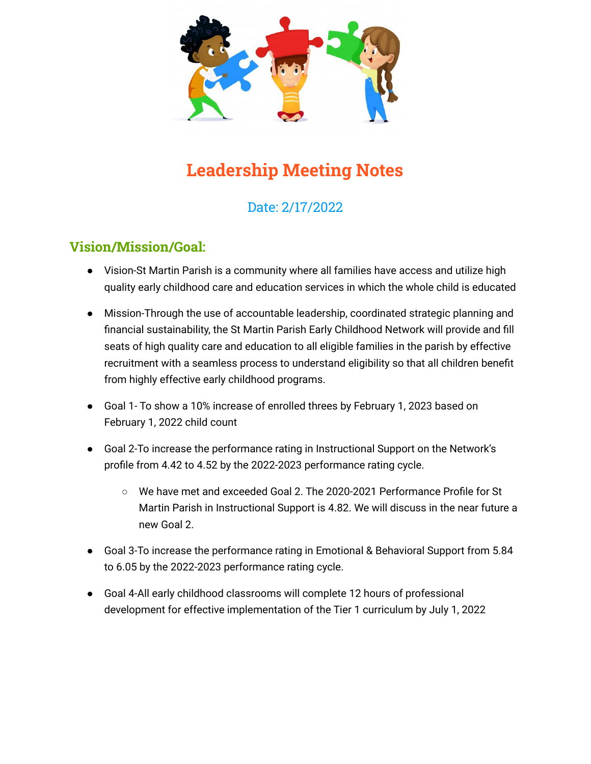

# **Leadership Meeting Notes**

# Date: 2/17/2022

## **Vision/Mission/Goal:**

- Vision-St Martin Parish is a community where all families have access and utilize high quality early childhood care and education services in which the whole child is educated
- Mission-Through the use of accountable leadership, coordinated strategic planning and financial sustainability, the St Martin Parish Early Childhood Network will provide and fill seats of high quality care and education to all eligible families in the parish by effective recruitment with a seamless process to understand eligibility so that all children benefit from highly effective early childhood programs.
- Goal 1- To show a 10% increase of enrolled threes by February 1, 2023 based on February 1, 2022 child count
- Goal 2-To increase the performance rating in Instructional Support on the Network's profile from 4.42 to 4.52 by the 2022-2023 performance rating cycle.
	- We have met and exceeded Goal 2. The 2020-2021 Performance Profile for St Martin Parish in Instructional Support is 4.82. We will discuss in the near future a new Goal 2.
- Goal 3-To increase the performance rating in Emotional & Behavioral Support from 5.84 to 6.05 by the 2022-2023 performance rating cycle.
- Goal 4-All early childhood classrooms will complete 12 hours of professional development for effective implementation of the Tier 1 curriculum by July 1, 2022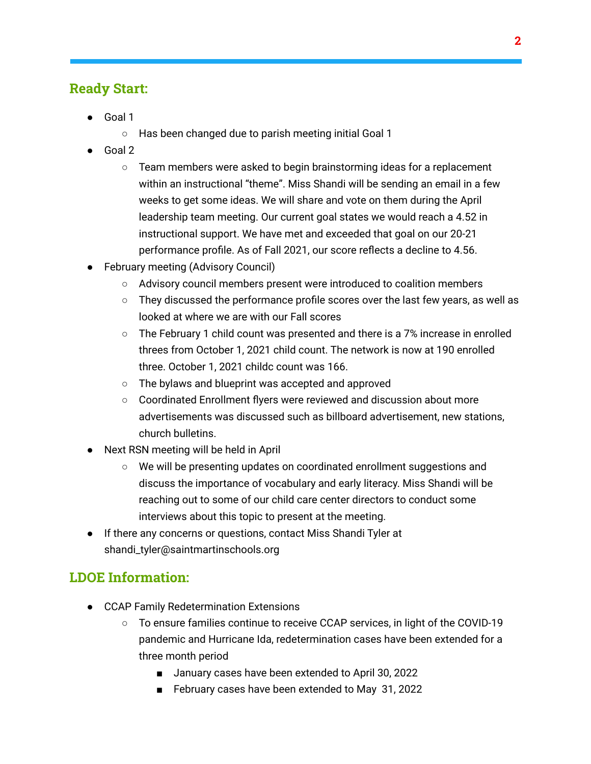#### **Ready Start:**

- Goal 1
	- Has been changed due to parish meeting initial Goal 1
- Goal 2
	- $\circ$  Team members were asked to begin brainstorming ideas for a replacement within an instructional "theme". Miss Shandi will be sending an email in a few weeks to get some ideas. We will share and vote on them during the April leadership team meeting. Our current goal states we would reach a 4.52 in instructional support. We have met and exceeded that goal on our 20-21 performance profile. As of Fall 2021, our score reflects a decline to 4.56.
- **February meeting (Advisory Council)** 
	- Advisory council members present were introduced to coalition members
	- $\circ$  They discussed the performance profile scores over the last few years, as well as looked at where we are with our Fall scores
	- $\circ$  The February 1 child count was presented and there is a 7% increase in enrolled threes from October 1, 2021 child count. The network is now at 190 enrolled three. October 1, 2021 childc count was 166.
	- The bylaws and blueprint was accepted and approved
	- Coordinated Enrollment flyers were reviewed and discussion about more advertisements was discussed such as billboard advertisement, new stations, church bulletins.
- Next RSN meeting will be held in April
	- We will be presenting updates on coordinated enrollment suggestions and discuss the importance of vocabulary and early literacy. Miss Shandi will be reaching out to some of our child care center directors to conduct some interviews about this topic to present at the meeting.
- If there any concerns or questions, contact Miss Shandi Tyler at shandi\_tyler@saintmartinschools.org

## **LDOE Information:**

- CCAP Family Redetermination Extensions
	- To ensure families continue to receive CCAP services, in light of the COVID-19 pandemic and Hurricane Ida, redetermination cases have been extended for a three month period
		- January cases have been extended to April 30, 2022
		- February cases have been extended to May 31, 2022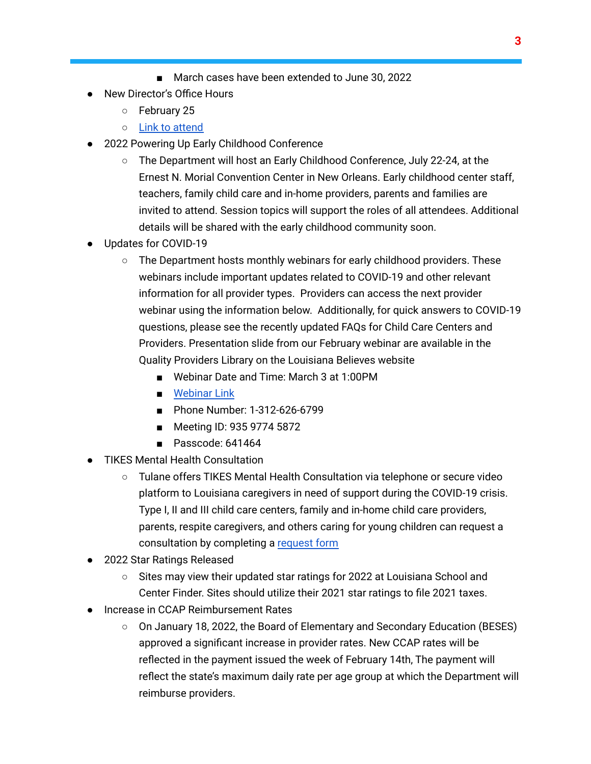- March cases have been extended to June 30, 2022
- New Director's Office Hours
	- February 25
	- Link to [attend](https://ldoe.zoom.us/j/99075363953?pwd=MlpweDVwNUZ3TUdkWUtwbDcrcmkzdz09#success)
- 2022 Powering Up Early Childhood Conference
	- The Department will host an Early Childhood Conference, July 22-24, at the Ernest N. Morial Convention Center in New Orleans. Early childhood center staff, teachers, family child care and in-home providers, parents and families are invited to attend. Session topics will support the roles of all attendees. Additional details will be shared with the early childhood community soon.
- Updates for COVID-19
	- $\circ$  The Department hosts monthly webinars for early childhood providers. These webinars include important updates related to COVID-19 and other relevant information for all provider types. Providers can access the next provider webinar using the information below. Additionally, for quick answers to COVID-19 questions, please see the recently updated FAQs for Child Care Centers and Providers. Presentation slide from our February webinar are available in the Quality Providers Library on the Louisiana Believes website
		- Webinar Date and Time: March 3 at 1:00PM
		- [Webinar](https://ldoe.zoom.us/j/93597745872?pwd=%20%20https://ldoe.zoom.us/j/93597745872?pwd=N29GbDNzZ3FRbnkxYVNGaGZZdHI3dz09#success) Link
		- Phone Number: 1-312-626-6799
		- Meeting ID: 935 9774 5872
		- Passcode: 641464
- **TIKES Mental Health Consultation** 
	- Tulane offers TIKES Mental Health Consultation via telephone or secure video platform to Louisiana caregivers in need of support during the COVID-19 crisis. Type I, II and III child care centers, family and in-home child care providers, parents, respite caregivers, and others caring for young children can request a consultation by completing a [request](https://docs.google.com/forms/d/e/1FAIpQLSex8E0uZaI9YFNYDZxzjWVu9NR2h010i_70LInbtsglyNgHpg/viewform) form
- 2022 Star Ratings Released
	- Sites may view their updated star ratings for 2022 at Louisiana School and Center Finder. Sites should utilize their 2021 star ratings to file 2021 taxes.
- Increase in CCAP Reimbursement Rates
	- On January 18, 2022, the Board of Elementary and Secondary Education (BESES) approved a significant increase in provider rates. New CCAP rates will be reflected in the payment issued the week of February 14th, The payment will reflect the state's maximum daily rate per age group at which the Department will reimburse providers.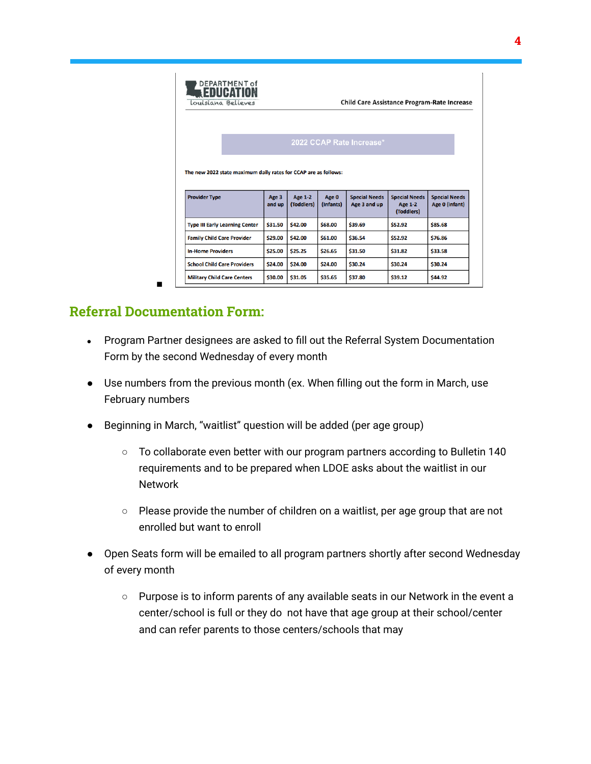| Louisiana Believes                                              |                 |                              |                    | <b>Child Care Assistance Program-Rate Increase</b> |                                                      |                                        |
|-----------------------------------------------------------------|-----------------|------------------------------|--------------------|----------------------------------------------------|------------------------------------------------------|----------------------------------------|
|                                                                 |                 |                              |                    | 2022 CCAP Rate Increase*                           |                                                      |                                        |
| The new 2022 state maximum daily rates for CCAP are as follows: |                 |                              |                    |                                                    |                                                      |                                        |
|                                                                 |                 |                              |                    |                                                    |                                                      |                                        |
| <b>Provider Type</b>                                            | Age 3<br>and up | <b>Age 1-2</b><br>(Toddlers) | Age 0<br>(Infants) | <b>Special Needs</b><br>Age 3 and up               | <b>Special Needs</b><br><b>Age 1-2</b><br>(Toddlers) | <b>Special Needs</b><br>Age 0 (infant) |
| <b>Type III Early Learning Center</b>                           | \$31.50         | \$42.00                      | \$68.00            | \$39.69                                            | \$52.92                                              | \$85.68                                |
| <b>Family Child Care Provider</b>                               | \$29.00         | \$42.00                      | \$61.00            | \$36.54                                            | \$52.92                                              | \$76.86                                |
| <b>In-Home Providers</b>                                        | \$25.00         | \$25.25                      | \$26.65            | \$31.50                                            | \$31.82                                              | \$33.58                                |
| <b>School Child Care Providers</b>                              | \$24.00         | \$24.00                      | \$24.00            | \$30.24                                            | \$30.24                                              | \$30.24                                |

# **Referral Documentation Form:**

■

- Program Partner designees are asked to fill out the Referral System Documentation Form by the second Wednesday of every month
- Use numbers from the previous month (ex. When filling out the form in March, use February numbers
- Beginning in March, "waitlist" question will be added (per age group)
	- $\circ$  To collaborate even better with our program partners according to Bulletin 140 requirements and to be prepared when LDOE asks about the waitlist in our Network
	- Please provide the number of children on a waitlist, per age group that are not enrolled but want to enroll
- Open Seats form will be emailed to all program partners shortly after second Wednesday of every month
	- Purpose is to inform parents of any available seats in our Network in the event a center/school is full or they do not have that age group at their school/center and can refer parents to those centers/schools that may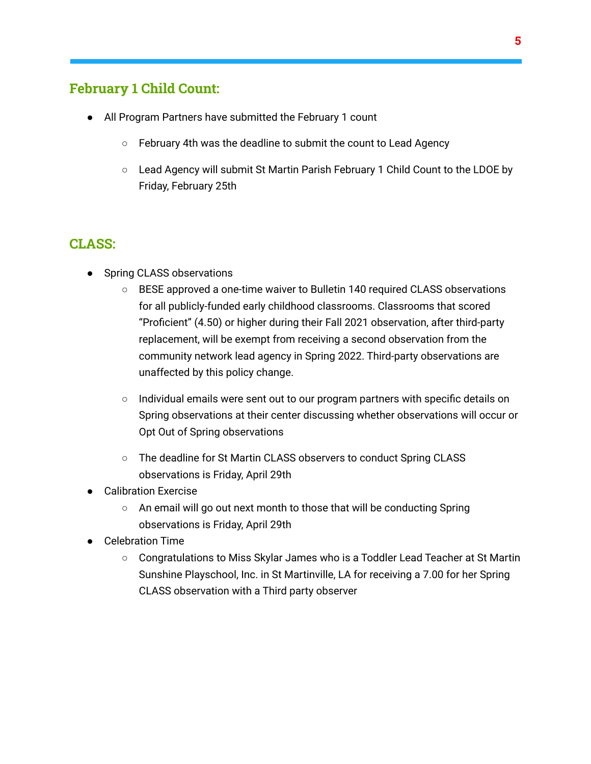#### **February 1 Child Count:**

- All Program Partners have submitted the February 1 count
	- February 4th was the deadline to submit the count to Lead Agency
	- Lead Agency will submit St Martin Parish February 1 Child Count to the LDOE by Friday, February 25th

#### **CLASS:**

- Spring CLASS observations
	- BESE approved a one-time waiver to Bulletin 140 required CLASS observations for all publicly-funded early childhood classrooms. Classrooms that scored "Proficient" (4.50) or higher during their Fall 2021 observation, after third-party replacement, will be exempt from receiving a second observation from the community network lead agency in Spring 2022. Third-party observations are unaffected by this policy change.
	- $\circ$  Individual emails were sent out to our program partners with specific details on Spring observations at their center discussing whether observations will occur or Opt Out of Spring observations
	- The deadline for St Martin CLASS observers to conduct Spring CLASS observations is Friday, April 29th
- **Calibration Exercise** 
	- An email will go out next month to those that will be conducting Spring observations is Friday, April 29th
- Celebration Time
	- Congratulations to Miss Skylar James who is a Toddler Lead Teacher at St Martin Sunshine Playschool, Inc. in St Martinville, LA for receiving a 7.00 for her Spring CLASS observation with a Third party observer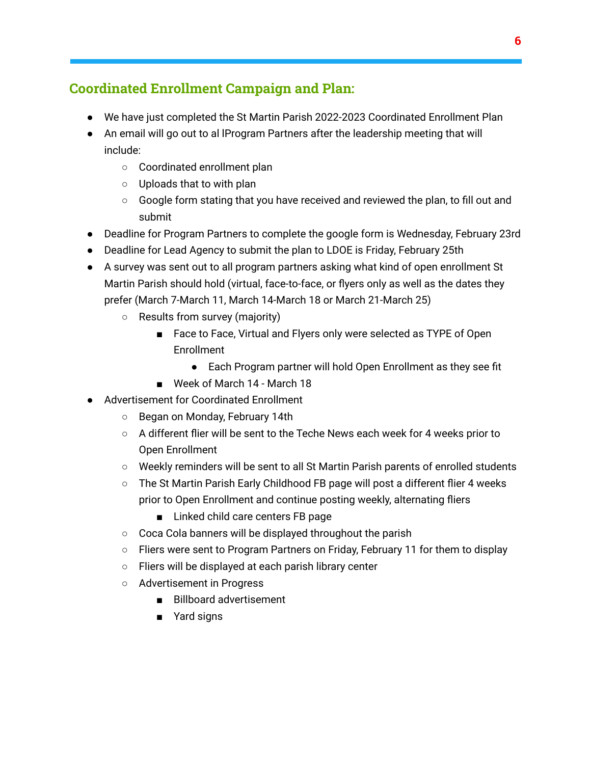# **Coordinated Enrollment Campaign and Plan:**

- We have just completed the St Martin Parish 2022-2023 Coordinated Enrollment Plan
- An email will go out to al lProgram Partners after the leadership meeting that will include:
	- Coordinated enrollment plan
	- Uploads that to with plan
	- Google form stating that you have received and reviewed the plan, to fill out and submit
- Deadline for Program Partners to complete the google form is Wednesday, February 23rd
- Deadline for Lead Agency to submit the plan to LDOE is Friday, February 25th
- A survey was sent out to all program partners asking what kind of open enrollment St Martin Parish should hold (virtual, face-to-face, or flyers only as well as the dates they prefer (March 7-March 11, March 14-March 18 or March 21-March 25)
	- Results from survey (majority)
		- Face to Face, Virtual and Flyers only were selected as TYPE of Open Enrollment
			- Each Program partner will hold Open Enrollment as they see fit
		- Week of March 14 March 18
- Advertisement for Coordinated Enrollment
	- Began on Monday, February 14th
	- $\circ$  A different flier will be sent to the Teche News each week for 4 weeks prior to Open Enrollment
	- Weekly reminders will be sent to all St Martin Parish parents of enrolled students
	- The St Martin Parish Early Childhood FB page will post a different flier 4 weeks prior to Open Enrollment and continue posting weekly, alternating fliers
		- Linked child care centers FB page
	- Coca Cola banners will be displayed throughout the parish
	- Fliers were sent to Program Partners on Friday, February 11 for them to display
	- Fliers will be displayed at each parish library center
	- Advertisement in Progress
		- Billboard advertisement
		- Yard signs